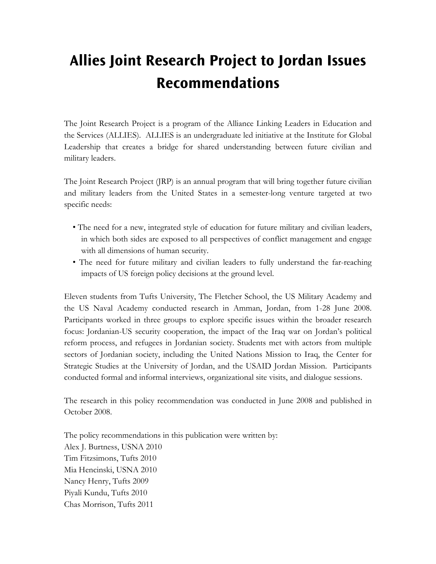## **Allies Joint Research Project to Jordan Issues Recommendations**

The Joint Research Project is a program of the Alliance Linking Leaders in Education and the Services (ALLIES). ALLIES is an undergraduate led initiative at the Institute for Global Leadership that creates a bridge for shared understanding between future civilian and military leaders.

The Joint Research Project (JRP) is an annual program that will bring together future civilian and military leaders from the United States in a semester-long venture targeted at two specific needs:

- The need for a new, integrated style of education for future military and civilian leaders, in which both sides are exposed to all perspectives of conflict management and engage with all dimensions of human security.
- The need for future military and civilian leaders to fully understand the far-reaching impacts of US foreign policy decisions at the ground level.

Eleven students from Tufts University, The Fletcher School, the US Military Academy and the US Naval Academy conducted research in Amman, Jordan, from 1-28 June 2008. Participants worked in three groups to explore specific issues within the broader research focus: Jordanian-US security cooperation, the impact of the Iraq war on Jordan's political reform process, and refugees in Jordanian society. Students met with actors from multiple sectors of Jordanian society, including the United Nations Mission to Iraq, the Center for Strategic Studies at the University of Jordan, and the USAID Jordan Mission. Participants conducted formal and informal interviews, organizational site visits, and dialogue sessions.

The research in this policy recommendation was conducted in June 2008 and published in October 2008.

The policy recommendations in this publication were written by: Alex J. Burtness, USNA 2010 Tim Fitzsimons, Tufts 2010 Mia Hencinski, USNA 2010 Nancy Henry, Tufts 2009 Piyali Kundu, Tufts 2010 Chas Morrison, Tufts 2011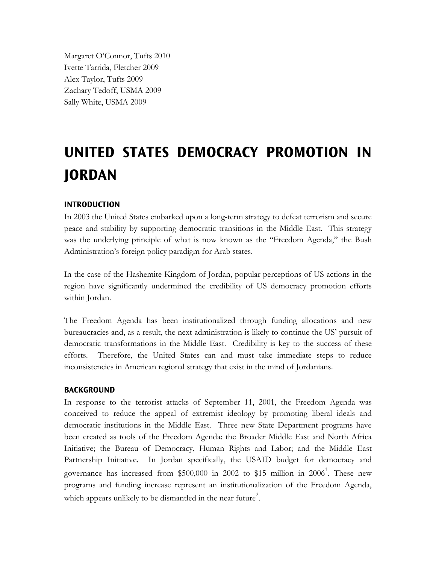Margaret O'Connor, Tufts 2010 Ivette Tarrida, Fletcher 2009 Alex Taylor, Tufts 2009 Zachary Tedoff, USMA 2009 Sally White, USMA 2009

# **UNITED STATES DEMOCRACY PROMOTION IN JORDAN**

## **INTRODUCTION**

In 2003 the United States embarked upon a long-term strategy to defeat terrorism and secure peace and stability by supporting democratic transitions in the Middle East. This strategy was the underlying principle of what is now known as the "Freedom Agenda," the Bush Administration's foreign policy paradigm for Arab states.

In the case of the Hashemite Kingdom of Jordan, popular perceptions of US actions in the region have significantly undermined the credibility of US democracy promotion efforts within Jordan.

The Freedom Agenda has been institutionalized through funding allocations and new bureaucracies and, as a result, the next administration is likely to continue the US' pursuit of democratic transformations in the Middle East. Credibility is key to the success of these efforts. Therefore, the United States can and must take immediate steps to reduce inconsistencies in American regional strategy that exist in the mind of Jordanians.

#### **BACKGROUND**

In response to the terrorist attacks of September 11, 2001, the Freedom Agenda was conceived to reduce the appeal of extremist ideology by promoting liberal ideals and democratic institutions in the Middle East. Three new State Department programs have been created as tools of the Freedom Agenda: the Broader Middle East and North Africa Initiative; the Bureau of Democracy, Human Rights and Labor; and the Middle East Partnership Initiative. In Jordan specifically, the USAID budget for democracy and governance has increased from \$500,000 in 2002 to \$15 million in 2006<sup>1</sup>. These new programs and funding increase represent an institutionalization of the Freedom Agenda, which appears unlikely to be dismantled in the near future<sup>2</sup>.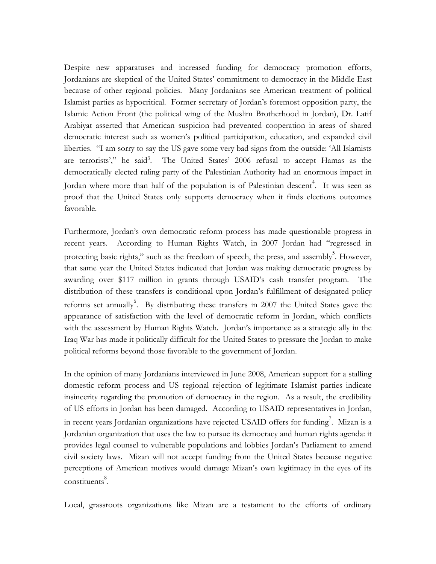Despite new apparatuses and increased funding for democracy promotion efforts, Jordanians are skeptical of the United States' commitment to democracy in the Middle East because of other regional policies. Many Jordanians see American treatment of political Islamist parties as hypocritical. Former secretary of Jordan's foremost opposition party, the Islamic Action Front (the political wing of the Muslim Brotherhood in Jordan), Dr. Latif Arabiyat asserted that American suspicion had prevented cooperation in areas of shared democratic interest such as women's political participation, education, and expanded civil liberties. "I am sorry to say the US gave some very bad signs from the outside: 'All Islamists are terrorists'," he said<sup>3</sup>. The United States' 2006 refusal to accept Hamas as the democratically elected ruling party of the Palestinian Authority had an enormous impact in Jordan where more than half of the population is of Palestinian descent<sup>4</sup>. It was seen as proof that the United States only supports democracy when it finds elections outcomes favorable.

Furthermore, Jordan's own democratic reform process has made questionable progress in recent years. According to Human Rights Watch, in 2007 Jordan had "regressed in protecting basic rights," such as the freedom of speech, the press, and assembly<sup>5</sup>. However, that same year the United States indicated that Jordan was making democratic progress by awarding over \$117 million in grants through USAID's cash transfer program. The distribution of these transfers is conditional upon Jordan's fulfillment of designated policy reforms set annually<sup>6</sup>. By distributing these transfers in 2007 the United States gave the appearance of satisfaction with the level of democratic reform in Jordan, which conflicts with the assessment by Human Rights Watch. Jordan's importance as a strategic ally in the Iraq War has made it politically difficult for the United States to pressure the Jordan to make political reforms beyond those favorable to the government of Jordan.

In the opinion of many Jordanians interviewed in June 2008, American support for a stalling domestic reform process and US regional rejection of legitimate Islamist parties indicate insincerity regarding the promotion of democracy in the region. As a result, the credibility of US efforts in Jordan has been damaged. According to USAID representatives in Jordan, in recent years Jordanian organizations have rejected USAID offers for funding<sup>7</sup>. Mizan is a Jordanian organization that uses the law to pursue its democracy and human rights agenda: it provides legal counsel to vulnerable populations and lobbies Jordan's Parliament to amend civil society laws. Mizan will not accept funding from the United States because negative perceptions of American motives would damage Mizan's own legitimacy in the eyes of its constituents<sup>8</sup>.

Local, grassroots organizations like Mizan are a testament to the efforts of ordinary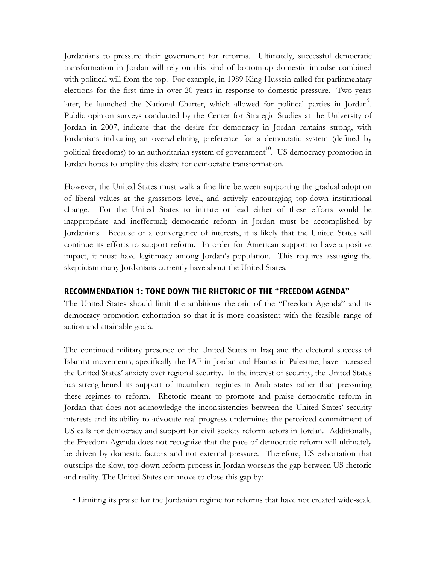Jordanians to pressure their government for reforms. Ultimately, successful democratic transformation in Jordan will rely on this kind of bottom-up domestic impulse combined with political will from the top. For example, in 1989 King Hussein called for parliamentary elections for the first time in over 20 years in response to domestic pressure. Two years later, he launched the National Charter, which allowed for political parties in Jordan<sup>9</sup>. Public opinion surveys conducted by the Center for Strategic Studies at the University of Jordan in 2007, indicate that the desire for democracy in Jordan remains strong, with Jordanians indicating an overwhelming preference for a democratic system (defined by political freedoms) to an authoritarian system of government<sup>10</sup>. US democracy promotion in Jordan hopes to amplify this desire for democratic transformation.

However, the United States must walk a fine line between supporting the gradual adoption of liberal values at the grassroots level, and actively encouraging top-down institutional change. For the United States to initiate or lead either of these efforts would be inappropriate and ineffectual; democratic reform in Jordan must be accomplished by Jordanians. Because of a convergence of interests, it is likely that the United States will continue its efforts to support reform. In order for American support to have a positive impact, it must have legitimacy among Jordan's population. This requires assuaging the skepticism many Jordanians currently have about the United States.

## **RECOMMENDATION 1: TONE DOWN THE RHETORIC OF THE "FREEDOM AGENDA"**

The United States should limit the ambitious rhetoric of the "Freedom Agenda" and its democracy promotion exhortation so that it is more consistent with the feasible range of action and attainable goals.

The continued military presence of the United States in Iraq and the electoral success of Islamist movements, specifically the IAF in Jordan and Hamas in Palestine, have increased the United States' anxiety over regional security. In the interest of security, the United States has strengthened its support of incumbent regimes in Arab states rather than pressuring these regimes to reform. Rhetoric meant to promote and praise democratic reform in Jordan that does not acknowledge the inconsistencies between the United States' security interests and its ability to advocate real progress undermines the perceived commitment of US calls for democracy and support for civil society reform actors in Jordan. Additionally, the Freedom Agenda does not recognize that the pace of democratic reform will ultimately be driven by domestic factors and not external pressure. Therefore, US exhortation that outstrips the slow, top-down reform process in Jordan worsens the gap between US rhetoric and reality. The United States can move to close this gap by:

• Limiting its praise for the Jordanian regime for reforms that have not created wide-scale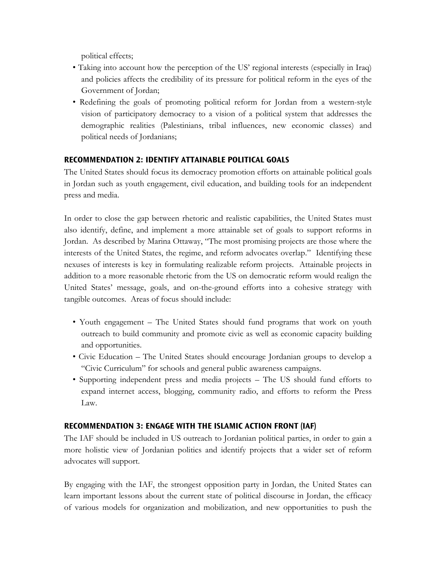political effects;

- Taking into account how the perception of the US' regional interests (especially in Iraq) and policies affects the credibility of its pressure for political reform in the eyes of the Government of Jordan;
- Redefining the goals of promoting political reform for Jordan from a western-style vision of participatory democracy to a vision of a political system that addresses the demographic realities (Palestinians, tribal influences, new economic classes) and political needs of Jordanians;

## **RECOMMENDATION 2: IDENTIFY ATTAINABLE POLITICAL GOALS**

The United States should focus its democracy promotion efforts on attainable political goals in Jordan such as youth engagement, civil education, and building tools for an independent press and media.

In order to close the gap between rhetoric and realistic capabilities, the United States must also identify, define, and implement a more attainable set of goals to support reforms in Jordan. As described by Marina Ottaway, "The most promising projects are those where the interests of the United States, the regime, and reform advocates overlap." Identifying these nexuses of interests is key in formulating realizable reform projects. Attainable projects in addition to a more reasonable rhetoric from the US on democratic reform would realign the United States' message, goals, and on-the-ground efforts into a cohesive strategy with tangible outcomes. Areas of focus should include:

- Youth engagement The United States should fund programs that work on youth outreach to build community and promote civic as well as economic capacity building and opportunities.
- Civic Education The United States should encourage Jordanian groups to develop a "Civic Curriculum" for schools and general public awareness campaigns.
- Supporting independent press and media projects The US should fund efforts to expand internet access, blogging, community radio, and efforts to reform the Press Law.

## **RECOMMENDATION 3: ENGAGE WITH THE ISLAMIC ACTION FRONT (IAF)**

The IAF should be included in US outreach to Jordanian political parties, in order to gain a more holistic view of Jordanian politics and identify projects that a wider set of reform advocates will support.

By engaging with the IAF, the strongest opposition party in Jordan, the United States can learn important lessons about the current state of political discourse in Jordan, the efficacy of various models for organization and mobilization, and new opportunities to push the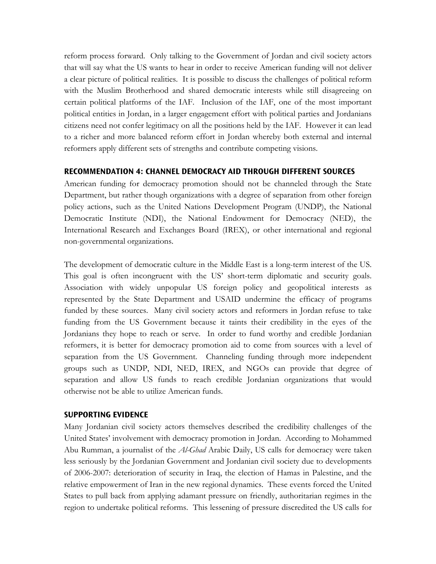reform process forward. Only talking to the Government of Jordan and civil society actors that will say what the US wants to hear in order to receive American funding will not deliver a clear picture of political realities. It is possible to discuss the challenges of political reform with the Muslim Brotherhood and shared democratic interests while still disagreeing on certain political platforms of the IAF. Inclusion of the IAF, one of the most important political entities in Jordan, in a larger engagement effort with political parties and Jordanians citizens need not confer legitimacy on all the positions held by the IAF. However it can lead to a richer and more balanced reform effort in Jordan whereby both external and internal reformers apply different sets of strengths and contribute competing visions.

#### **RECOMMENDATION 4: CHANNEL DEMOCRACY AID THROUGH DIFFERENT SOURCES**

American funding for democracy promotion should not be channeled through the State Department, but rather though organizations with a degree of separation from other foreign policy actions, such as the United Nations Development Program (UNDP), the National Democratic Institute (NDI), the National Endowment for Democracy (NED), the International Research and Exchanges Board (IREX), or other international and regional non-governmental organizations.

The development of democratic culture in the Middle East is a long-term interest of the US. This goal is often incongruent with the US' short-term diplomatic and security goals. Association with widely unpopular US foreign policy and geopolitical interests as represented by the State Department and USAID undermine the efficacy of programs funded by these sources. Many civil society actors and reformers in Jordan refuse to take funding from the US Government because it taints their credibility in the eyes of the Jordanians they hope to reach or serve. In order to fund worthy and credible Jordanian reformers, it is better for democracy promotion aid to come from sources with a level of separation from the US Government. Channeling funding through more independent groups such as UNDP, NDI, NED, IREX, and NGOs can provide that degree of separation and allow US funds to reach credible Jordanian organizations that would otherwise not be able to utilize American funds.

## **SUPPORTING EVIDENCE**

Many Jordanian civil society actors themselves described the credibility challenges of the United States' involvement with democracy promotion in Jordan. According to Mohammed Abu Rumman, a journalist of the *Al-Ghad* Arabic Daily, US calls for democracy were taken less seriously by the Jordanian Government and Jordanian civil society due to developments of 2006-2007: deterioration of security in Iraq, the election of Hamas in Palestine, and the relative empowerment of Iran in the new regional dynamics. These events forced the United States to pull back from applying adamant pressure on friendly, authoritarian regimes in the region to undertake political reforms. This lessening of pressure discredited the US calls for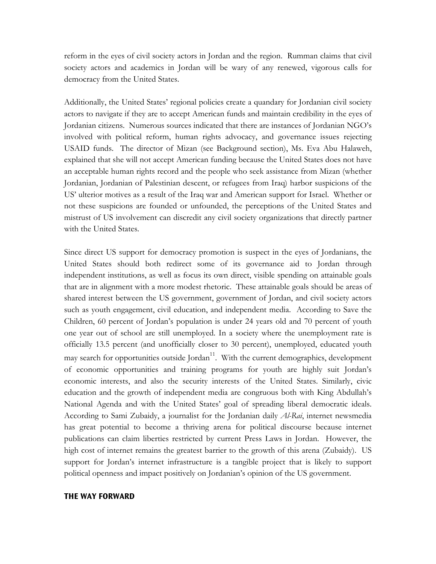reform in the eyes of civil society actors in Jordan and the region. Rumman claims that civil society actors and academics in Jordan will be wary of any renewed, vigorous calls for democracy from the United States.

Additionally, the United States' regional policies create a quandary for Jordanian civil society actors to navigate if they are to accept American funds and maintain credibility in the eyes of Jordanian citizens. Numerous sources indicated that there are instances of Jordanian NGO's involved with political reform, human rights advocacy, and governance issues rejecting USAID funds. The director of Mizan (see Background section), Ms. Eva Abu Halaweh, explained that she will not accept American funding because the United States does not have an acceptable human rights record and the people who seek assistance from Mizan (whether Jordanian, Jordanian of Palestinian descent, or refugees from Iraq) harbor suspicions of the US' ulterior motives as a result of the Iraq war and American support for Israel. Whether or not these suspicions are founded or unfounded, the perceptions of the United States and mistrust of US involvement can discredit any civil society organizations that directly partner with the United States.

Since direct US support for democracy promotion is suspect in the eyes of Jordanians, the United States should both redirect some of its governance aid to Jordan through independent institutions, as well as focus its own direct, visible spending on attainable goals that are in alignment with a more modest rhetoric. These attainable goals should be areas of shared interest between the US government, government of Jordan, and civil society actors such as youth engagement, civil education, and independent media. According to Save the Children, 60 percent of Jordan's population is under 24 years old and 70 percent of youth one year out of school are still unemployed. In a society where the unemployment rate is officially 13.5 percent (and unofficially closer to 30 percent), unemployed, educated youth may search for opportunities outside  $\left[ \text{ordan}^{11} \right]$ . With the current demographics, development of economic opportunities and training programs for youth are highly suit Jordan's economic interests, and also the security interests of the United States. Similarly, civic education and the growth of independent media are congruous both with King Abdullah's National Agenda and with the United States' goal of spreading liberal democratic ideals. According to Sami Zubaidy, a journalist for the Jordanian daily *Al-Rai*, internet newsmedia has great potential to become a thriving arena for political discourse because internet publications can claim liberties restricted by current Press Laws in Jordan. However, the high cost of internet remains the greatest barrier to the growth of this arena (Zubaidy). US support for Jordan's internet infrastructure is a tangible project that is likely to support political openness and impact positively on Jordanian's opinion of the US government.

#### **THE WAY FORWARD**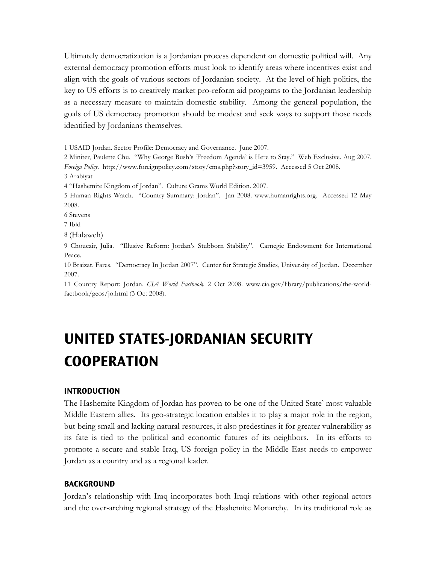Ultimately democratization is a Jordanian process dependent on domestic political will. Any external democracy promotion efforts must look to identify areas where incentives exist and align with the goals of various sectors of Jordanian society. At the level of high politics, the key to US efforts is to creatively market pro-reform aid programs to the Jordanian leadership as a necessary measure to maintain domestic stability. Among the general population, the goals of US democracy promotion should be modest and seek ways to support those needs identified by Jordanians themselves.

1 USAID Jordan. Sector Profile: Democracy and Governance. June 2007.

2 Miniter, Paulette Chu. "Why George Bush's 'Freedom Agenda' is Here to Stay." Web Exclusive. Aug 2007. *Foreign Policy*. http://www.foreignpolicy.com/story/cms.php?story\_id=3959. Accessed 5 Oct 2008.

3 Arabiyat

4 "Hashemite Kingdom of Jordan". Culture Grams World Edition. 2007.

5 Human Rights Watch. "Country Summary: Jordan". Jan 2008. www.humanrights.org. Accessed 12 May 2008.

6 Stevens

7 Ibid

8 (Halaweh)

9 Choucair, Julia. "Illusive Reform: Jordan's Stubborn Stability". Carnegie Endowment for International Peace.

10 Braizat, Fares. "Democracy In Jordan 2007". Center for Strategic Studies, University of Jordan. December 2007.

11 Country Report: Jordan. *CIA World Factbook*. 2 Oct 2008. www.cia.gov/library/publications/the-worldfactbook/geos/jo.html (3 Oct 2008).

## **UNITED STATES-JORDANIAN SECURITY COOPERATION**

#### **INTRODUCTION**

The Hashemite Kingdom of Jordan has proven to be one of the United State' most valuable Middle Eastern allies. Its geo-strategic location enables it to play a major role in the region, but being small and lacking natural resources, it also predestines it for greater vulnerability as its fate is tied to the political and economic futures of its neighbors. In its efforts to promote a secure and stable Iraq, US foreign policy in the Middle East needs to empower Jordan as a country and as a regional leader.

### **BACKGROUND**

Jordan's relationship with Iraq incorporates both Iraqi relations with other regional actors and the over-arching regional strategy of the Hashemite Monarchy. In its traditional role as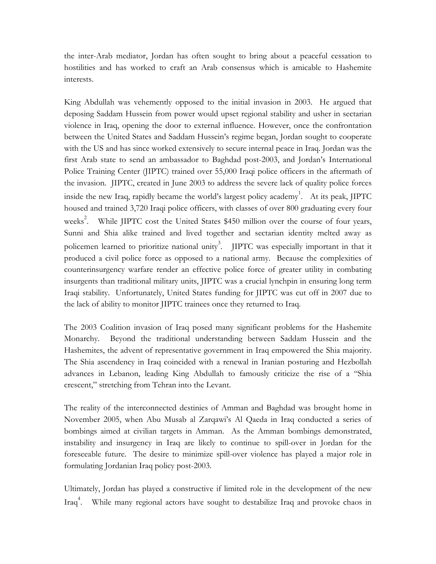the inter-Arab mediator, Jordan has often sought to bring about a peaceful cessation to hostilities and has worked to craft an Arab consensus which is amicable to Hashemite interests.

King Abdullah was vehemently opposed to the initial invasion in 2003. He argued that deposing Saddam Hussein from power would upset regional stability and usher in sectarian violence in Iraq, opening the door to external influence. However, once the confrontation between the United States and Saddam Hussein's regime began, Jordan sought to cooperate with the US and has since worked extensively to secure internal peace in Iraq. Jordan was the first Arab state to send an ambassador to Baghdad post-2003, and Jordan's International Police Training Center (JIPTC) trained over 55,000 Iraqi police officers in the aftermath of the invasion. JIPTC, created in June 2003 to address the severe lack of quality police forces inside the new Iraq, rapidly became the world's largest policy academy<sup>1</sup>. At its peak, JIPTC housed and trained 3,720 Iraqi police officers, with classes of over 800 graduating every four weeks<sup>2</sup>. While JIPTC cost the United States \$450 million over the course of four years, Sunni and Shia alike trained and lived together and sectarian identity melted away as policemen learned to prioritize national unity<sup>3</sup>. JIPTC was especially important in that it produced a civil police force as opposed to a national army. Because the complexities of counterinsurgency warfare render an effective police force of greater utility in combating insurgents than traditional military units, JIPTC was a crucial lynchpin in ensuring long term Iraqi stability. Unfortunately, United States funding for JIPTC was cut off in 2007 due to the lack of ability to monitor JIPTC trainees once they returned to Iraq.

The 2003 Coalition invasion of Iraq posed many significant problems for the Hashemite Monarchy. Beyond the traditional understanding between Saddam Hussein and the Hashemites, the advent of representative government in Iraq empowered the Shia majority. The Shia ascendency in Iraq coincided with a renewal in Iranian posturing and Hezbollah advances in Lebanon, leading King Abdullah to famously criticize the rise of a "Shia crescent," stretching from Tehran into the Levant.

The reality of the interconnected destinies of Amman and Baghdad was brought home in November 2005, when Abu Musab al Zarqawi's Al Qaeda in Iraq conducted a series of bombings aimed at civilian targets in Amman. As the Amman bombings demonstrated, instability and insurgency in Iraq are likely to continue to spill-over in Jordan for the foreseeable future. The desire to minimize spill-over violence has played a major role in formulating Jordanian Iraq policy post-2003.

Ultimately, Jordan has played a constructive if limited role in the development of the new Iraq<sup>4</sup>. While many regional actors have sought to destabilize Iraq and provoke chaos in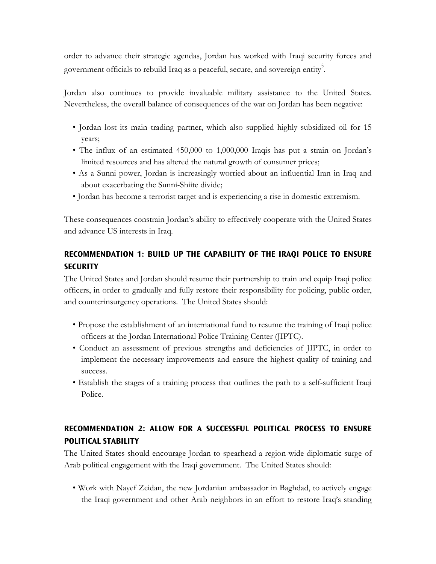order to advance their strategic agendas, Jordan has worked with Iraqi security forces and government officials to rebuild Iraq as a peaceful, secure, and sovereign entity.

Jordan also continues to provide invaluable military assistance to the United States. Nevertheless, the overall balance of consequences of the war on Jordan has been negative:

- Jordan lost its main trading partner, which also supplied highly subsidized oil for 15 years;
- The influx of an estimated 450,000 to 1,000,000 Iraqis has put a strain on Jordan's limited resources and has altered the natural growth of consumer prices;
- As a Sunni power, Jordan is increasingly worried about an influential Iran in Iraq and about exacerbating the Sunni-Shiite divide;
- Jordan has become a terrorist target and is experiencing a rise in domestic extremism.

These consequences constrain Jordan's ability to effectively cooperate with the United States and advance US interests in Iraq.

## **RECOMMENDATION 1: BUILD UP THE CAPABILITY OF THE IRAQI POLICE TO ENSURE SECURITY**

The United States and Jordan should resume their partnership to train and equip Iraqi police officers, in order to gradually and fully restore their responsibility for policing, public order, and counterinsurgency operations. The United States should:

- Propose the establishment of an international fund to resume the training of Iraqi police officers at the Jordan International Police Training Center (JIPTC).
- Conduct an assessment of previous strengths and deficiencies of JIPTC, in order to implement the necessary improvements and ensure the highest quality of training and success.
- Establish the stages of a training process that outlines the path to a self-sufficient Iraqi Police.

## **RECOMMENDATION 2: ALLOW FOR A SUCCESSFUL POLITICAL PROCESS TO ENSURE POLITICAL STABILITY**

The United States should encourage Jordan to spearhead a region-wide diplomatic surge of Arab political engagement with the Iraqi government. The United States should:

• Work with Nayef Zeidan, the new Jordanian ambassador in Baghdad, to actively engage the Iraqi government and other Arab neighbors in an effort to restore Iraq's standing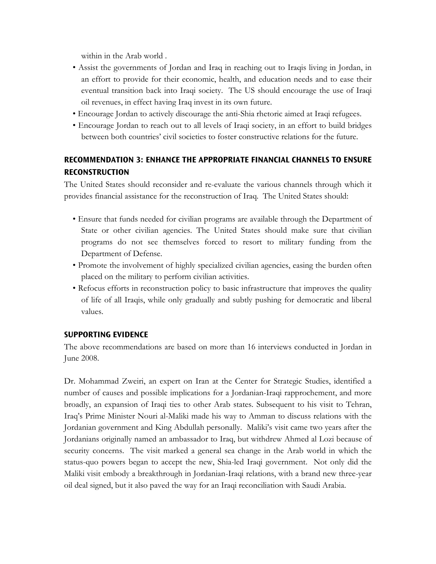within in the Arab world .

- Assist the governments of Jordan and Iraq in reaching out to Iraqis living in Jordan, in an effort to provide for their economic, health, and education needs and to ease their eventual transition back into Iraqi society. The US should encourage the use of Iraqi oil revenues, in effect having Iraq invest in its own future.
- Encourage Jordan to actively discourage the anti-Shia rhetoric aimed at Iraqi refugees.
- Encourage Jordan to reach out to all levels of Iraqi society, in an effort to build bridges between both countries' civil societies to foster constructive relations for the future.

## **RECOMMENDATION 3: ENHANCE THE APPROPRIATE FINANCIAL CHANNELS TO ENSURE RECONSTRUCTION**

The United States should reconsider and re-evaluate the various channels through which it provides financial assistance for the reconstruction of Iraq. The United States should:

- Ensure that funds needed for civilian programs are available through the Department of State or other civilian agencies. The United States should make sure that civilian programs do not see themselves forced to resort to military funding from the Department of Defense.
- Promote the involvement of highly specialized civilian agencies, easing the burden often placed on the military to perform civilian activities.
- Refocus efforts in reconstruction policy to basic infrastructure that improves the quality of life of all Iraqis, while only gradually and subtly pushing for democratic and liberal values.

## **SUPPORTING EVIDENCE**

The above recommendations are based on more than 16 interviews conducted in Jordan in June 2008.

Dr. Mohammad Zweiri, an expert on Iran at the Center for Strategic Studies, identified a number of causes and possible implications for a Jordanian-Iraqi rapprochement, and more broadly, an expansion of Iraqi ties to other Arab states. Subsequent to his visit to Tehran, Iraq's Prime Minister Nouri al-Maliki made his way to Amman to discuss relations with the Jordanian government and King Abdullah personally. Maliki's visit came two years after the Jordanians originally named an ambassador to Iraq, but withdrew Ahmed al Lozi because of security concerns. The visit marked a general sea change in the Arab world in which the status-quo powers began to accept the new, Shia-led Iraqi government. Not only did the Maliki visit embody a breakthrough in Jordanian-Iraqi relations, with a brand new three-year oil deal signed, but it also paved the way for an Iraqi reconciliation with Saudi Arabia.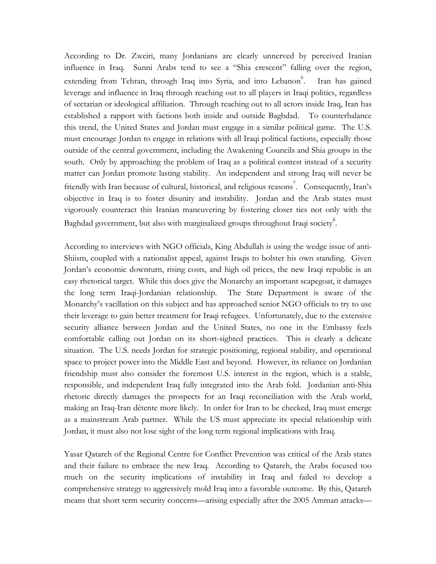According to Dr. Zweiri, many Jordanians are clearly unnerved by perceived Iranian influence in Iraq. Sunni Arabs tend to see a "Shia crescent" falling over the region, extending from Tehran, through Iraq into Syria, and into Lebanon<sup>6</sup>. Iran has gained leverage and influence in Iraq through reaching out to all players in Iraqi politics, regardless of sectarian or ideological affiliation. Through reaching out to all actors inside Iraq, Iran has established a rapport with factions both inside and outside Baghdad. To counterbalance this trend, the United States and Jordan must engage in a similar political game. The U.S. must encourage Jordan to engage in relations with all Iraqi political factions, especially those outside of the central government, including the Awakening Councils and Shia groups in the south. Only by approaching the problem of Iraq as a political contest instead of a security matter can Jordan promote lasting stability. An independent and strong Iraq will never be friendly with Iran because of cultural, historical, and religious reasons<sup>7</sup>. Consequently, Iran's objective in Iraq is to foster disunity and instability. Jordan and the Arab states must vigorously counteract this Iranian maneuvering by fostering closer ties not only with the Baghdad government, but also with marginalized groups throughout Iraqi society $\overset{8}{\cdot}$ .

According to interviews with NGO officials, King Abdullah is using the wedge issue of anti-Shiism, coupled with a nationalist appeal, against Iraqis to bolster his own standing. Given Jordan's economic downturn, rising costs, and high oil prices, the new Iraqi republic is an easy rhetorical target. While this does give the Monarchy an important scapegoat, it damages the long term Iraqi-Jordanian relationship. The State Department is aware of the Monarchy's vacillation on this subject and has approached senior NGO officials to try to use their leverage to gain better treatment for Iraqi refugees. Unfortunately, due to the extensive security alliance between Jordan and the United States, no one in the Embassy feels comfortable calling out Jordan on its short-sighted practices. This is clearly a delicate situation. The U.S. needs Jordan for strategic positioning, regional stability, and operational space to project power into the Middle East and beyond. However, its reliance on Jordanian friendship must also consider the foremost U.S. interest in the region, which is a stable, responsible, and independent Iraq fully integrated into the Arab fold. Jordanian anti-Shia rhetoric directly damages the prospects for an Iraqi reconciliation with the Arab world, making an Iraq-Iran détente more likely. In order for Iran to be checked, Iraq must emerge as a mainstream Arab partner. While the US must appreciate its special relationship with Jordan, it must also not lose sight of the long term regional implications with Iraq.

Yasar Qatareh of the Regional Centre for Conflict Prevention was critical of the Arab states and their failure to embrace the new Iraq. According to Qatareh, the Arabs focused too much on the security implications of instability in Iraq and failed to develop a comprehensive strategy to aggressively mold Iraq into a favorable outcome. By this, Qatareh means that short term security concerns—arising especially after the 2005 Amman attacks—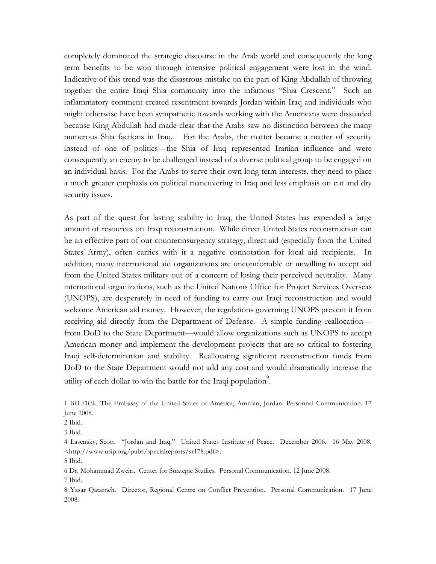completely dominated the strategic discourse in the Arab world and consequently the long term benefits to be won through intensive political engagement were lost in the wind. Indicative of this trend was the disastrous mistake on the part of King Abdullah of throwing together the entire Iraqi Shia community into the infamous "Shia Crescent." Such an inflammatory comment created resentment towards Jordan within Iraq and individuals who might otherwise have been sympathetic towards working with the Americans were dissuaded because King Abdullah had made clear that the Arabs saw no distinction between the many numerous Shia factions in Iraq. For the Arabs, the matter became a matter of security instead of one of politics—the Shia of Iraq represented Iranian influence and were consequently an enemy to be challenged instead of a diverse political group to be engaged on an individual basis. For the Arabs to serve their own long term interests, they need to place a much greater emphasis on political maneuvering in Iraq and less emphasis on cut and dry security issues.

As part of the quest for lasting stability in Iraq, the United States has expended a large amount of resources on Iraqi reconstruction. While direct United States reconstruction can be an effective part of our counterinsurgency strategy, direct aid (especially from the United States Army), often carries with it a negative connotation for local aid recipients. In addition, many international aid organizations are uncomfortable or unwilling to accept aid from the United States military out of a concern of losing their perceived neutrality. Many international organizations, such as the United Nations Office for Project Services Overseas (UNOPS), are desperately in need of funding to carry out Iraqi reconstruction and would welcome American aid money. However, the regulations governing UNOPS prevent it from receiving aid directly from the Department of Defense. A simple funding reallocation from DoD to the State Department—would allow organizations such as UNOPS to accept American money and implement the development projects that are so critical to fostering Iraqi self-determination and stability. Reallocating significant reconstruction funds from DoD to the State Department would not add any cost and would dramatically increase the utility of each dollar to win the battle for the Iraqi population<sup>9</sup>.

1 Bill Flink. The Embassy of the United States of America, Amman, Jordan. Personnal Communication. 17 June 2008.

4 Lasensky, Scott. "Jordan and Iraq." United States Institute of Peace. December 2006. 16 May 2008. <http://www.usip.org/pubs/specialreports/sr178.pdf>.

6 Dr. Mohammad Zweiri. Center for Strategic Studies. Personal Communication. 12 June 2008. 7 Ibid.

8 Yasar Qatarneh. Director, Regional Centre on Conflict Prevention. Personal Communication. 17 June 2008.

<sup>2</sup> Ibid.

<sup>3</sup> Ibid.

<sup>5</sup> Ibid.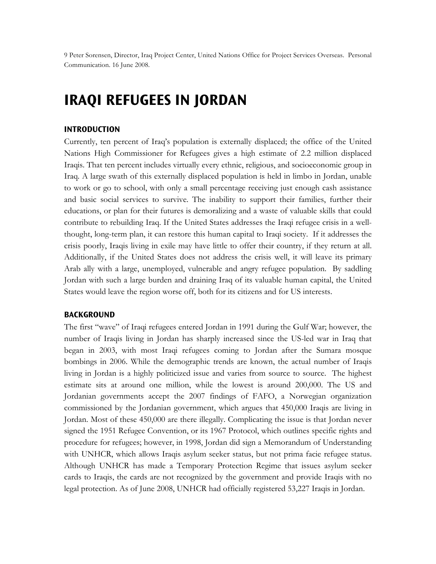9 Peter Sorensen, Director, Iraq Project Center, United Nations Office for Project Services Overseas. Personal Communication. 16 June 2008.

## **IRAQI REFUGEES IN JORDAN**

#### **INTRODUCTION**

Currently, ten percent of Iraq's population is externally displaced; the office of the United Nations High Commissioner for Refugees gives a high estimate of 2.2 million displaced Iraqis. That ten percent includes virtually every ethnic, religious, and socioeconomic group in Iraq. A large swath of this externally displaced population is held in limbo in Jordan, unable to work or go to school, with only a small percentage receiving just enough cash assistance and basic social services to survive. The inability to support their families, further their educations, or plan for their futures is demoralizing and a waste of valuable skills that could contribute to rebuilding Iraq. If the United States addresses the Iraqi refugee crisis in a wellthought, long-term plan, it can restore this human capital to Iraqi society. If it addresses the crisis poorly, Iraqis living in exile may have little to offer their country, if they return at all. Additionally, if the United States does not address the crisis well, it will leave its primary Arab ally with a large, unemployed, vulnerable and angry refugee population. By saddling Jordan with such a large burden and draining Iraq of its valuable human capital, the United States would leave the region worse off, both for its citizens and for US interests.

#### **BACKGROUND**

The first "wave" of Iraqi refugees entered Jordan in 1991 during the Gulf War; however, the number of Iraqis living in Jordan has sharply increased since the US-led war in Iraq that began in 2003, with most Iraqi refugees coming to Jordan after the Sumara mosque bombings in 2006. While the demographic trends are known, the actual number of Iraqis living in Jordan is a highly politicized issue and varies from source to source. The highest estimate sits at around one million, while the lowest is around 200,000. The US and Jordanian governments accept the 2007 findings of FAFO, a Norwegian organization commissioned by the Jordanian government, which argues that 450,000 Iraqis are living in Jordan. Most of these 450,000 are there illegally. Complicating the issue is that Jordan never signed the 1951 Refugee Convention, or its 1967 Protocol, which outlines specific rights and procedure for refugees; however, in 1998, Jordan did sign a Memorandum of Understanding with UNHCR, which allows Iraqis asylum seeker status, but not prima facie refugee status. Although UNHCR has made a Temporary Protection Regime that issues asylum seeker cards to Iraqis, the cards are not recognized by the government and provide Iraqis with no legal protection. As of June 2008, UNHCR had officially registered 53,227 Iraqis in Jordan.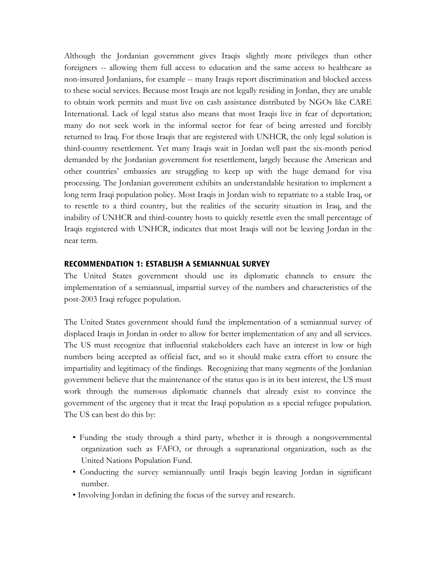Although the Jordanian government gives Iraqis slightly more privileges than other foreigners -- allowing them full access to education and the same access to healthcare as non-insured Jordanians, for example -- many Iraqis report discrimination and blocked access to these social services. Because most Iraqis are not legally residing in Jordan, they are unable to obtain work permits and must live on cash assistance distributed by NGOs like CARE International. Lack of legal status also means that most Iraqis live in fear of deportation; many do not seek work in the informal sector for fear of being arrested and forcibly returned to Iraq. For those Iraqis that are registered with UNHCR, the only legal solution is third-country resettlement. Yet many Iraqis wait in Jordan well past the six-month period demanded by the Jordanian government for resettlement, largely because the American and other countries' embassies are struggling to keep up with the huge demand for visa processing. The Jordanian government exhibits an understandable hesitation to implement a long term Iraqi population policy. Most Iraqis in Jordan wish to repatriate to a stable Iraq, or to resettle to a third country, but the realities of the security situation in Iraq, and the inability of UNHCR and third-country hosts to quickly resettle even the small percentage of Iraqis registered with UNHCR, indicates that most Iraqis will not be leaving Jordan in the near term.

### **RECOMMENDATION 1: ESTABLISH A SEMIANNUAL SURVEY**

The United States government should use its diplomatic channels to ensure the implementation of a semiannual, impartial survey of the numbers and characteristics of the post-2003 Iraqi refugee population.

The United States government should fund the implementation of a semiannual survey of displaced Iraqis in Jordan in order to allow for better implementation of any and all services. The US must recognize that influential stakeholders each have an interest in low or high numbers being accepted as official fact, and so it should make extra effort to ensure the impartiality and legitimacy of the findings. Recognizing that many segments of the Jordanian government believe that the maintenance of the status quo is in its best interest, the US must work through the numerous diplomatic channels that already exist to convince the government of the urgency that it treat the Iraqi population as a special refugee population. The US can best do this by:

- Funding the study through a third party, whether it is through a nongovernmental organization such as FAFO, or through a supranational organization, such as the United Nations Population Fund.
- Conducting the survey semiannually until Iraqis begin leaving Jordan in significant number.
- Involving Jordan in defining the focus of the survey and research.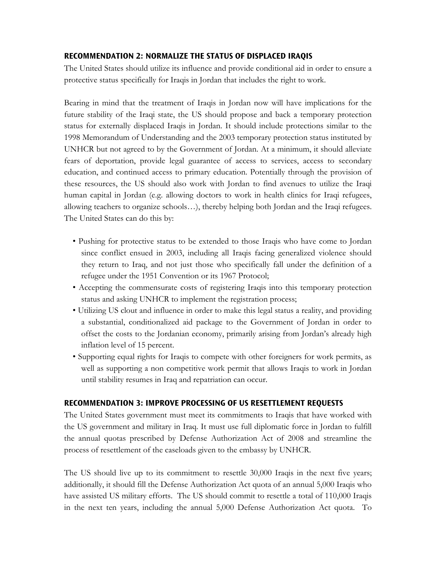## **RECOMMENDATION 2: NORMALIZE THE STATUS OF DISPLACED IRAQIS**

The United States should utilize its influence and provide conditional aid in order to ensure a protective status specifically for Iraqis in Jordan that includes the right to work.

Bearing in mind that the treatment of Iraqis in Jordan now will have implications for the future stability of the Iraqi state, the US should propose and back a temporary protection status for externally displaced Iraqis in Jordan. It should include protections similar to the 1998 Memorandum of Understanding and the 2003 temporary protection status instituted by UNHCR but not agreed to by the Government of Jordan. At a minimum, it should alleviate fears of deportation, provide legal guarantee of access to services, access to secondary education, and continued access to primary education. Potentially through the provision of these resources, the US should also work with Jordan to find avenues to utilize the Iraqi human capital in Jordan (e.g. allowing doctors to work in health clinics for Iraqi refugees, allowing teachers to organize schools…), thereby helping both Jordan and the Iraqi refugees. The United States can do this by:

- Pushing for protective status to be extended to those Iraqis who have come to Jordan since conflict ensued in 2003, including all Iraqis facing generalized violence should they return to Iraq, and not just those who specifically fall under the definition of a refugee under the 1951 Convention or its 1967 Protocol;
- Accepting the commensurate costs of registering Iraqis into this temporary protection status and asking UNHCR to implement the registration process;
- Utilizing US clout and influence in order to make this legal status a reality, and providing a substantial, conditionalized aid package to the Government of Jordan in order to offset the costs to the Jordanian economy, primarily arising from Jordan's already high inflation level of 15 percent.
- Supporting equal rights for Iraqis to compete with other foreigners for work permits, as well as supporting a non competitive work permit that allows Iraqis to work in Jordan until stability resumes in Iraq and repatriation can occur.

## **RECOMMENDATION 3: IMPROVE PROCESSING OF US RESETTLEMENT REQUESTS**

The United States government must meet its commitments to Iraqis that have worked with the US government and military in Iraq. It must use full diplomatic force in Jordan to fulfill the annual quotas prescribed by Defense Authorization Act of 2008 and streamline the process of resettlement of the caseloads given to the embassy by UNHCR.

The US should live up to its commitment to resettle 30,000 Iraqis in the next five years; additionally, it should fill the Defense Authorization Act quota of an annual 5,000 Iraqis who have assisted US military efforts. The US should commit to resettle a total of 110,000 Iraqis in the next ten years, including the annual 5,000 Defense Authorization Act quota. To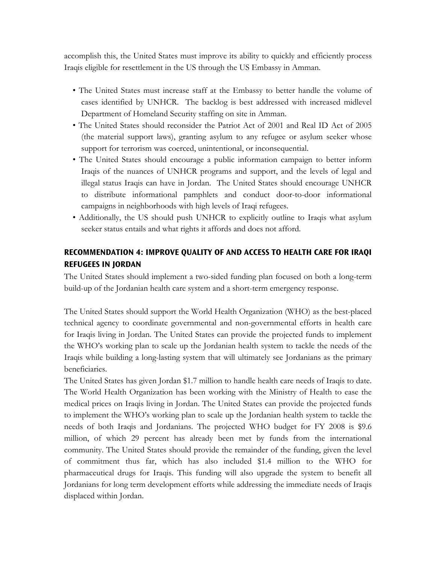accomplish this, the United States must improve its ability to quickly and efficiently process Iraqis eligible for resettlement in the US through the US Embassy in Amman.

- The United States must increase staff at the Embassy to better handle the volume of cases identified by UNHCR. The backlog is best addressed with increased midlevel Department of Homeland Security staffing on site in Amman.
- The United States should reconsider the Patriot Act of 2001 and Real ID Act of 2005 (the material support laws), granting asylum to any refugee or asylum seeker whose support for terrorism was coerced, unintentional, or inconsequential.
- The United States should encourage a public information campaign to better inform Iraqis of the nuances of UNHCR programs and support, and the levels of legal and illegal status Iraqis can have in Jordan. The United States should encourage UNHCR to distribute informational pamphlets and conduct door-to-door informational campaigns in neighborhoods with high levels of Iraqi refugees.
- Additionally, the US should push UNHCR to explicitly outline to Iraqis what asylum seeker status entails and what rights it affords and does not afford.

## **RECOMMENDATION 4: IMPROVE QUALITY OF AND ACCESS TO HEALTH CARE FOR IRAQI REFUGEES IN JORDAN**

The United States should implement a two-sided funding plan focused on both a long-term build-up of the Jordanian health care system and a short-term emergency response.

The United States should support the World Health Organization (WHO) as the best-placed technical agency to coordinate governmental and non-governmental efforts in health care for Iraqis living in Jordan. The United States can provide the projected funds to implement the WHO's working plan to scale up the Jordanian health system to tackle the needs of the Iraqis while building a long-lasting system that will ultimately see Jordanians as the primary beneficiaries.

The United States has given Jordan \$1.7 million to handle health care needs of Iraqis to date. The World Health Organization has been working with the Ministry of Health to ease the medical prices on Iraqis living in Jordan. The United States can provide the projected funds to implement the WHO's working plan to scale up the Jordanian health system to tackle the needs of both Iraqis and Jordanians. The projected WHO budget for FY 2008 is \$9.6 million, of which 29 percent has already been met by funds from the international community. The United States should provide the remainder of the funding, given the level of commitment thus far, which has also included \$1.4 million to the WHO for pharmaceutical drugs for Iraqis. This funding will also upgrade the system to benefit all Jordanians for long term development efforts while addressing the immediate needs of Iraqis displaced within Jordan.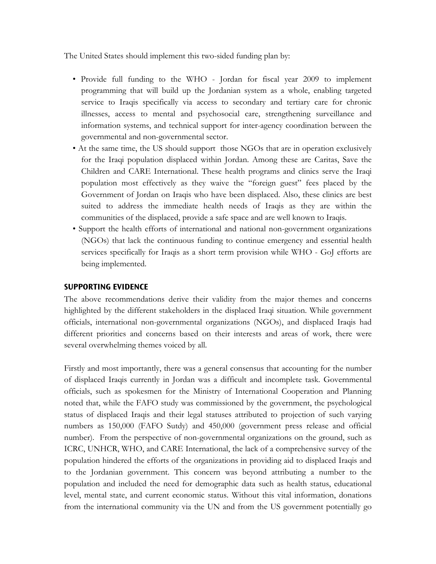The United States should implement this two-sided funding plan by:

- Provide full funding to the WHO Jordan for fiscal year 2009 to implement programming that will build up the Jordanian system as a whole, enabling targeted service to Iraqis specifically via access to secondary and tertiary care for chronic illnesses, access to mental and psychosocial care, strengthening surveillance and information systems, and technical support for inter-agency coordination between the governmental and non-governmental sector.
- At the same time, the US should support those NGOs that are in operation exclusively for the Iraqi population displaced within Jordan. Among these are Caritas, Save the Children and CARE International. These health programs and clinics serve the Iraqi population most effectively as they waive the "foreign guest" fees placed by the Government of Jordan on Iraqis who have been displaced. Also, these clinics are best suited to address the immediate health needs of Iraqis as they are within the communities of the displaced, provide a safe space and are well known to Iraqis.
- Support the health efforts of international and national non-government organizations (NGOs) that lack the continuous funding to continue emergency and essential health services specifically for Iraqis as a short term provision while WHO - GoJ efforts are being implemented.

## **SUPPORTING EVIDENCE**

The above recommendations derive their validity from the major themes and concerns highlighted by the different stakeholders in the displaced Iraqi situation. While government officials, international non-governmental organizations (NGOs), and displaced Iraqis had different priorities and concerns based on their interests and areas of work, there were several overwhelming themes voiced by all.

Firstly and most importantly, there was a general consensus that accounting for the number of displaced Iraqis currently in Jordan was a difficult and incomplete task. Governmental officials, such as spokesmen for the Ministry of International Cooperation and Planning noted that, while the FAFO study was commissioned by the government, the psychological status of displaced Iraqis and their legal statuses attributed to projection of such varying numbers as 150,000 (FAFO Sutdy) and 450,000 (government press release and official number). From the perspective of non-governmental organizations on the ground, such as ICRC, UNHCR, WHO, and CARE International, the lack of a comprehensive survey of the population hindered the efforts of the organizations in providing aid to displaced Iraqis and to the Jordanian government. This concern was beyond attributing a number to the population and included the need for demographic data such as health status, educational level, mental state, and current economic status. Without this vital information, donations from the international community via the UN and from the US government potentially go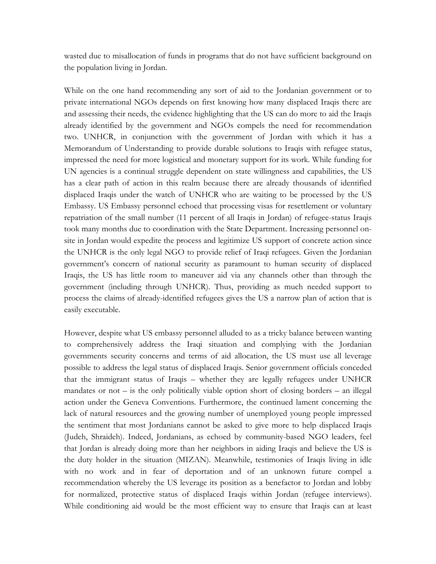wasted due to misallocation of funds in programs that do not have sufficient background on the population living in Jordan.

While on the one hand recommending any sort of aid to the Jordanian government or to private international NGOs depends on first knowing how many displaced Iraqis there are and assessing their needs, the evidence highlighting that the US can do more to aid the Iraqis already identified by the government and NGOs compels the need for recommendation two. UNHCR, in conjunction with the government of Jordan with which it has a Memorandum of Understanding to provide durable solutions to Iraqis with refugee status, impressed the need for more logistical and monetary support for its work. While funding for UN agencies is a continual struggle dependent on state willingness and capabilities, the US has a clear path of action in this realm because there are already thousands of identified displaced Iraqis under the watch of UNHCR who are waiting to be processed by the US Embassy. US Embassy personnel echoed that processing visas for resettlement or voluntary repatriation of the small number (11 percent of all Iraqis in Jordan) of refugee-status Iraqis took many months due to coordination with the State Department. Increasing personnel onsite in Jordan would expedite the process and legitimize US support of concrete action since the UNHCR is the only legal NGO to provide relief of Iraqi refugees. Given the Jordanian government's concern of national security as paramount to human security of displaced Iraqis, the US has little room to maneuver aid via any channels other than through the government (including through UNHCR). Thus, providing as much needed support to process the claims of already-identified refugees gives the US a narrow plan of action that is easily executable.

However, despite what US embassy personnel alluded to as a tricky balance between wanting to comprehensively address the Iraqi situation and complying with the Jordanian governments security concerns and terms of aid allocation, the US must use all leverage possible to address the legal status of displaced Iraqis. Senior government officials conceded that the immigrant status of Iraqis – whether they are legally refugees under UNHCR mandates or not – is the only politically viable option short of closing borders – an illegal action under the Geneva Conventions. Furthermore, the continued lament concerning the lack of natural resources and the growing number of unemployed young people impressed the sentiment that most Jordanians cannot be asked to give more to help displaced Iraqis (Judeh, Shraideh). Indeed, Jordanians, as echoed by community-based NGO leaders, feel that Jordan is already doing more than her neighbors in aiding Iraqis and believe the US is the duty holder in the situation (MIZAN). Meanwhile, testimonies of Iraqis living in idle with no work and in fear of deportation and of an unknown future compel a recommendation whereby the US leverage its position as a benefactor to Jordan and lobby for normalized, protective status of displaced Iraqis within Jordan (refugee interviews). While conditioning aid would be the most efficient way to ensure that Iraqis can at least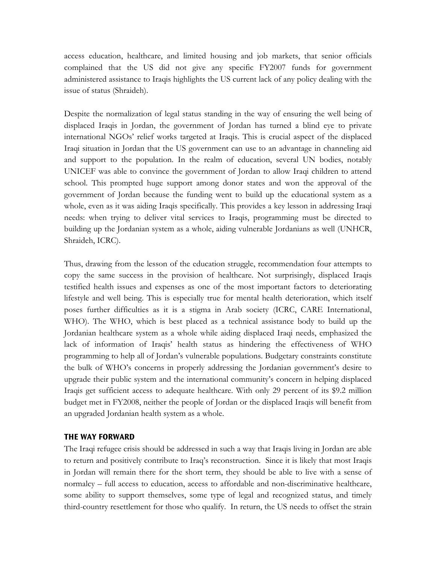access education, healthcare, and limited housing and job markets, that senior officials complained that the US did not give any specific FY2007 funds for government administered assistance to Iraqis highlights the US current lack of any policy dealing with the issue of status (Shraideh).

Despite the normalization of legal status standing in the way of ensuring the well being of displaced Iraqis in Jordan, the government of Jordan has turned a blind eye to private international NGOs' relief works targeted at Iraqis. This is crucial aspect of the displaced Iraqi situation in Jordan that the US government can use to an advantage in channeling aid and support to the population. In the realm of education, several UN bodies, notably UNICEF was able to convince the government of Jordan to allow Iraqi children to attend school. This prompted huge support among donor states and won the approval of the government of Jordan because the funding went to build up the educational system as a whole, even as it was aiding Iraqis specifically. This provides a key lesson in addressing Iraqi needs: when trying to deliver vital services to Iraqis, programming must be directed to building up the Jordanian system as a whole, aiding vulnerable Jordanians as well (UNHCR, Shraideh, ICRC).

Thus, drawing from the lesson of the education struggle, recommendation four attempts to copy the same success in the provision of healthcare. Not surprisingly, displaced Iraqis testified health issues and expenses as one of the most important factors to deteriorating lifestyle and well being. This is especially true for mental health deterioration, which itself poses further difficulties as it is a stigma in Arab society (ICRC, CARE International, WHO). The WHO, which is best placed as a technical assistance body to build up the Jordanian healthcare system as a whole while aiding displaced Iraqi needs, emphasized the lack of information of Iraqis' health status as hindering the effectiveness of WHO programming to help all of Jordan's vulnerable populations. Budgetary constraints constitute the bulk of WHO's concerns in properly addressing the Jordanian government's desire to upgrade their public system and the international community's concern in helping displaced Iraqis get sufficient access to adequate healthcare. With only 29 percent of its \$9.2 million budget met in FY2008, neither the people of Jordan or the displaced Iraqis will benefit from an upgraded Jordanian health system as a whole.

## **THE WAY FORWARD**

The Iraqi refugee crisis should be addressed in such a way that Iraqis living in Jordan are able to return and positively contribute to Iraq's reconstruction. Since it is likely that most Iraqis in Jordan will remain there for the short term, they should be able to live with a sense of normalcy – full access to education, access to affordable and non-discriminative healthcare, some ability to support themselves, some type of legal and recognized status, and timely third-country resettlement for those who qualify. In return, the US needs to offset the strain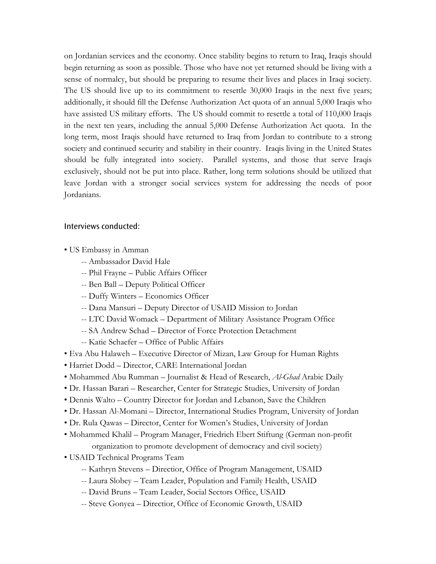on Jordanian services and the economy. Once stability begins to return to Iraq, Iraqis should begin returning as soon as possible. Those who have not yet returned should be living with a sense of normalcy, but should be preparing to resume their lives and places in Iraqi society. The US should live up to its commitment to resettle 30,000 Iraqis in the next five years; additionally, it should fill the Defense Authorization Act quota of an annual 5,000 Iraqis who have assisted US military efforts. The US should commit to resettle a total of 110,000 Iraqis in the next ten years, including the annual 5,000 Defense Authorization Act quota. In the long term, most Iraqis should have returned to Iraq from Jordan to contribute to a strong society and continued security and stability in their country. Iraqis living in the United States should be fully integrated into society. Parallel systems, and those that serve Iraqis exclusively, should not be put into place. Rather, long term solutions should be utilized that leave Jordan with a stronger social services system for addressing the needs of poor Jordanians.

#### Interviews conducted:

- US Embassy in Amman
	- -- Ambassador David Hale
	- -- Phil Frayne Public Affairs Officer
	- -- Ben Ball Deputy Political Officer
	- -- Duffy Winters Economics Officer
	- -- Dana Mansuri Deputy Director of USAID Mission to Jordan
	- -- LTC David Womack Department of Military Assistance Program Office
	- -- SA Andrew Schad Director of Force Protection Detachment
	- -- Katie Schaefer Office of Public Affairs
- Eva Abu Halaweh Executive Director of Mizan, Law Group for Human Rights
- Harriet Dodd Director, CARE International Jordan
- Mohammed Abu Rumman Journalist & Head of Research, *Al-Ghad* Arabic Daily
- Dr. Hassan Barari Researcher, Center for Strategic Studies, University of Jordan
- Dennis Walto Country Director for Jordan and Lebanon, Save the Children
- Dr. Hassan Al-Momani Director, International Studies Program, University of Jordan
- Dr. Rula Qawas Director, Center for Women's Studies, University of Jordan
- Mohammed Khalil Program Manager, Friedrich Ebert Stiftung (German non-profit
	- organization to promote development of democracy and civil society)
- USAID Technical Programs Team
	- -- Kathryn Stevens Directior, Office of Program Management, USAID
	- -- Laura Slobey Team Leader, Population and Family Health, USAID
	- -- David Bruns Team Leader, Social Sectors Office, USAID
	- -- Steve Gonyea Directior, Office of Economic Growth, USAID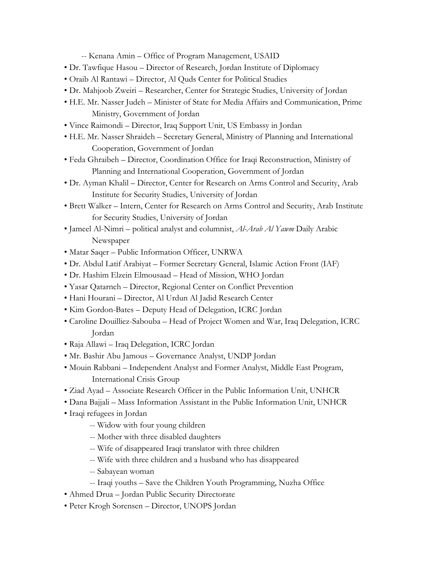-- Kenana Amin – Office of Program Management, USAID

- Dr. Tawfique Hasou Director of Research, Jordan Institute of Diplomacy
- Oraib Al Rantawi Director, Al Quds Center for Political Studies
- Dr. Mahjoob Zweiri Researcher, Center for Strategic Studies, University of Jordan
- H.E. Mr. Nasser Judeh Minister of State for Media Affairs and Communication, Prime Ministry, Government of Jordan
- Vince Raimondi Director, Iraq Support Unit, US Embassy in Jordan
- H.E. Mr. Nasser Shraideh Secretary General, Ministry of Planning and International Cooperation, Government of Jordan
- Feda Ghraibeh Director, Coordination Office for Iraqi Reconstruction, Ministry of Planning and International Cooperation, Government of Jordan
- Dr. Ayman Khalil Director, Center for Research on Arms Control and Security, Arab Institute for Security Studies, University of Jordan
- Brett Walker Intern, Center for Research on Arms Control and Security, Arab Institute for Security Studies, University of Jordan
- Jameel Al-Nimri political analyst and columnist, *Al-Arab Al Yawm* Daily Arabic Newspaper
- Matar Saqer Public Information Officer, UNRWA
- Dr. Abdul Latif Arabiyat Former Secretary General, Islamic Action Front (IAF)
- Dr. Hashim Elzein Elmousaad Head of Mission, WHO Jordan
- Yasar Qatarneh Director, Regional Center on Conflict Prevention
- Hani Hourani Director, Al Urdun Al Jadid Research Center
- Kim Gordon-Bates Deputy Head of Delegation, ICRC Jordan
- Caroline Douilliez-Sabouba Head of Project Women and War, Iraq Delegation, ICRC Jordan
- Raja Allawi Iraq Delegation, ICRC Jordan
- Mr. Bashir Abu Jamous Governance Analyst, UNDP Jordan
- Mouin Rabbani Independent Analyst and Former Analyst, Middle East Program, International Crisis Group
- Ziad Ayad Associate Research Officer in the Public Information Unit, UNHCR
- Dana Bajjali Mass Information Assistant in the Public Information Unit, UNHCR
- Iraqi refugees in Jordan
	- -- Widow with four young children
	- -- Mother with three disabled daughters
	- -- Wife of disappeared Iraqi translator with three children
	- -- Wife with three children and a husband who has disappeared
	- -- Sabayean woman
	- -- Iraqi youths Save the Children Youth Programming, Nuzha Office
- Ahmed Drua Jordan Public Security Directorate
- Peter Krogh Sorensen Director, UNOPS Jordan